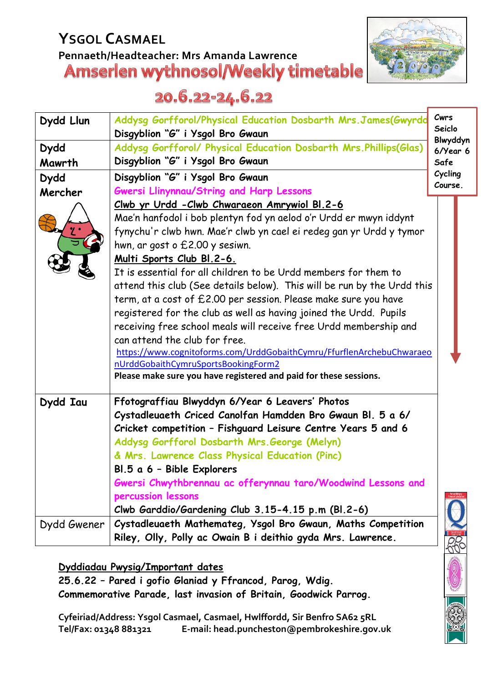# **YSGOL CASMAEL** Pennaeth/Headteacher: Mrs Amanda Lawrence<br>**Amserlen wythnosol/Weekly timetable**



## 20.6.22-24.6.22

| Dydd Llun   | Addysg Gorfforol/Physical Education Dosbarth Mrs. James(Gwyrdd<br>Disgyblion "G" i Ysgol Bro Gwaun | Cwrs<br>Seiclo            |
|-------------|----------------------------------------------------------------------------------------------------|---------------------------|
| <b>Dydd</b> | Addysg Gorfforol/ Physical Education Dosbarth Mrs. Phillips(Glas)                                  | Blwyddyn<br>$6$ /Year $6$ |
| Mawrth      | Disgyblion "G" i Ysgol Bro Gwaun                                                                   | Safe                      |
| <b>Dydd</b> | Disgyblion "G" i Ysgol Bro Gwaun                                                                   | Cycling                   |
| Mercher     | <b>Gwersi Llinynnau/String and Harp Lessons</b>                                                    | Course.                   |
|             | Clwb yr Urdd - Clwb Chwaraeon Amrywiol Bl. 2-6                                                     |                           |
|             | Mae'n hanfodol i bob plentyn fod yn aelod o'r Urdd er mwyn iddynt                                  |                           |
|             | fynychu'r clwb hwn. Mae'r clwb yn cael ei redeg gan yr Urdd y tymor                                |                           |
|             | hwn, ar gost o £2.00 y sesiwn.                                                                     |                           |
|             | Multi Sports Club Bl.2-6.                                                                          |                           |
|             | It is essential for all children to be Urdd members for them to                                    |                           |
|             | attend this club (See details below). This will be run by the Urdd this                            |                           |
|             | term, at a cost of £2.00 per session. Please make sure you have                                    |                           |
|             | registered for the club as well as having joined the Urdd. Pupils                                  |                           |
|             | receiving free school meals will receive free Urdd membership and                                  |                           |
|             | can attend the club for free.                                                                      |                           |
|             | https://www.cognitoforms.com/UrddGobaithCymru/FfurflenArchebuChwaraeo                              |                           |
|             | nUrddGobaithCymruSportsBookingForm2                                                                |                           |
|             | Please make sure you have registered and paid for these sessions.                                  |                           |
| Dydd Iau    | Ffotograffiau Blwyddyn 6/Year 6 Leavers' Photos                                                    |                           |
|             | Cystadleuaeth Criced Canolfan Hamdden Bro Gwaun Bl. 5 a 6/                                         |                           |
|             | Cricket competition - Fishguard Leisure Centre Years 5 and 6                                       |                           |
|             | Addysg Gorfforol Dosbarth Mrs. George (Melyn)                                                      |                           |
|             | & Mrs. Lawrence Class Physical Education (Pinc)                                                    |                           |
|             | Bl.5 a 6 - Bible Explorers                                                                         |                           |
|             | Gwersi Chwythbrennau ac offerynnau taro/Woodwind Lessons and                                       |                           |
|             | percussion lessons                                                                                 |                           |
|             | Clwb Garddio/Gardening Club 3.15-4.15 p.m (Bl.2-6)                                                 |                           |
| Dydd Gwener | Cystadleuaeth Mathemateg, Ysgol Bro Gwaun, Maths Competition                                       |                           |
|             | Riley, Olly, Polly ac Owain B i deithio gyda Mrs. Lawrence.                                        |                           |

**Dyddiadau Pwysig/Important dates**

**25.6.22 – Pared i gofio Glaniad y Ffrancod, Parog, Wdig. Commemorative Parade, last invasion of Britain, Goodwick Parrog.**

**Cyfeiriad/Address: Ysgol Casmael, Casmael, Hwlffordd, Sir Benfro SA62 5RL Tel/Fax: 01348 881321 E-mail: head.puncheston@pembrokeshire.gov.uk**

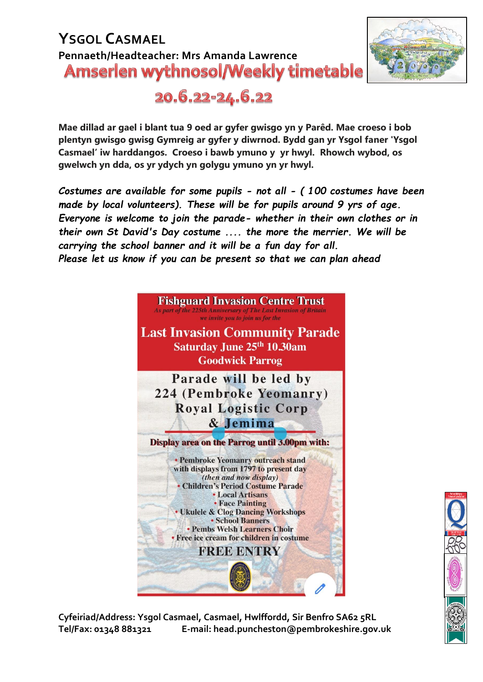#### **YSGOL CASMAEL Pennaeth/Headteacher: Mrs Amanda Lawrence Amserlen wythnosol/Weekly timetable**



20.6.22-24.6.22

**Mae dillad ar gael i blant tua 9 oed ar gyfer gwisgo yn y Parêd. Mae croeso i bob plentyn gwisgo gwisg Gymreig ar gyfer y diwrnod. Bydd gan yr Ysgol faner 'Ysgol Casmael' iw harddangos. Croeso i bawb ymuno y yr hwyl. Rhowch wybod, os gwelwch yn dda, os yr ydych yn golygu ymuno yn yr hwyl.**

*Costumes are available for some pupils - not all - ( 100 costumes have been made by local volunteers). These will be for pupils around 9 yrs of age. Everyone is welcome to join the parade- whether in their own clothes or in their own St David's Day costume .... the more the merrier. We will be carrying the school banner and it will be a fun day for all. Please let us know if you can be present so that we can plan ahead*



**Cyfeiriad/Address: Ysgol Casmael, Casmael, Hwlffordd, Sir Benfro SA62 5RL Tel/Fax: 01348 881321 E-mail: head.puncheston@pembrokeshire.gov.uk**